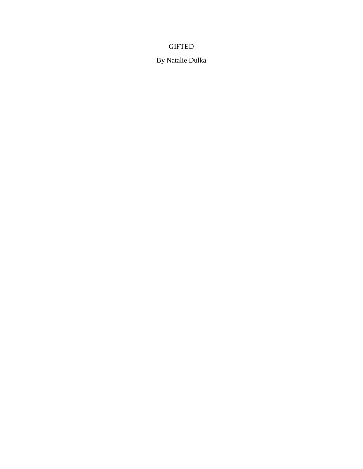# **GIFTED**

By Natalie Dulka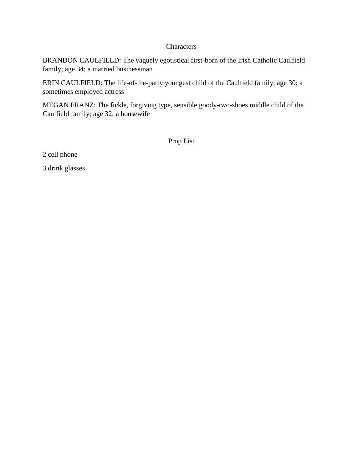# **Characters**

BRANDON CAULFIELD: The vaguely egotistical first-born of the Irish Catholic Caulfield family; age 34; a married businessman

ERIN CAULFIELD: The life-of-the-party youngest child of the Caulfield family; age 30; a sometimes employed actress

MEGAN FRANZ: The fickle, forgiving type, sensible goody-two-shoes middle child of the Caulfield family; age 32; a housewife

Prop List

2 cell phone

3 drink glasses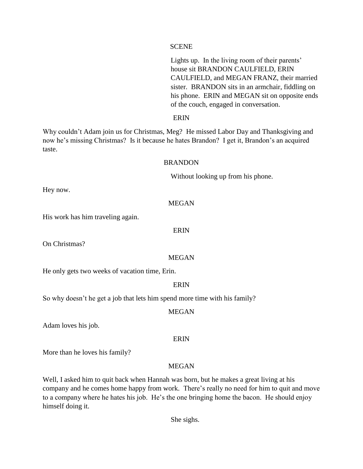## **SCENE**

Lights up. In the living room of their parents' house sit BRANDON CAULFIELD, ERIN CAULFIELD, and MEGAN FRANZ, their married sister. BRANDON sits in an armchair, fiddling on his phone. ERIN and MEGAN sit on opposite ends of the couch, engaged in conversation.

## ERIN

Why couldn't Adam join us for Christmas, Meg? He missed Labor Day and Thanksgiving and now he's missing Christmas? Is it because he hates Brandon? I get it, Brandon's an acquired taste.

## BRANDON

Without looking up from his phone.

Hey now.

## MEGAN

His work has him traveling again.

### ERIN

On Christmas?

### MEGAN

He only gets two weeks of vacation time, Erin.

### **ERIN**

So why doesn't he get a job that lets him spend more time with his family?

### MEGAN

Adam loves his job.

## ERIN

More than he loves his family?

## MEGAN

Well, I asked him to quit back when Hannah was born, but he makes a great living at his company and he comes home happy from work. There's really no need for him to quit and move to a company where he hates his job. He's the one bringing home the bacon. He should enjoy himself doing it.

She sighs.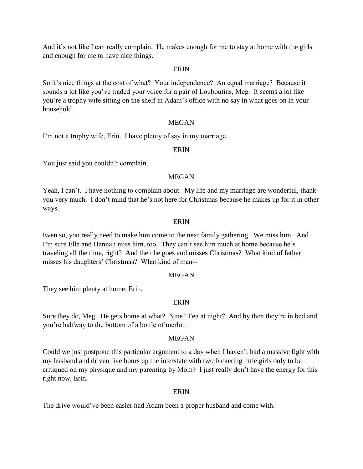And it's not like I can really complain. He makes enough for me to stay at home with the girls and enough for me to have nice things.

#### **ERIN**

So it's nice things at the cost of what? Your independence? An equal marriage? Because it sounds a lot like you've traded your voice for a pair of Louboutins, Meg. It seems a lot like you're a trophy wife sitting on the shelf in Adam's office with no say in what goes on in your household.

### MEGAN

I'm not a trophy wife, Erin. I have plenty of say in my marriage.

### ERIN

You just said you couldn't complain.

### MEGAN

Yeah, I can't. I have nothing to complain about. My life and my marriage are wonderful, thank you very much. I don't mind that he's not here for Christmas because he makes up for it in other ways.

#### ERIN

Even so, you really need to make him come to the next family gathering. We miss him. And I'm sure Ella and Hannah miss him, too. They can't see him much at home because he's traveling all the time, right? And then he goes and misses Christmas? What kind of father misses his daughters' Christmas? What kind of man--

### MEGAN

They see him plenty at home, Erin.

## ERIN

Sure they do, Meg. He gets home at what? Nine? Ten at night? And by then they're in bed and you're halfway to the bottom of a bottle of merlot.

#### MEGAN

Could we just postpone this particular argument to a day when I haven't had a massive fight with my husband and driven five hours up the interstate with two bickering little girls only to be critiqued on my physique and my parenting by Mom? I just really don't have the energy for this right now, Erin.

### ERIN

The drive would've been easier had Adam been a proper husband and come with.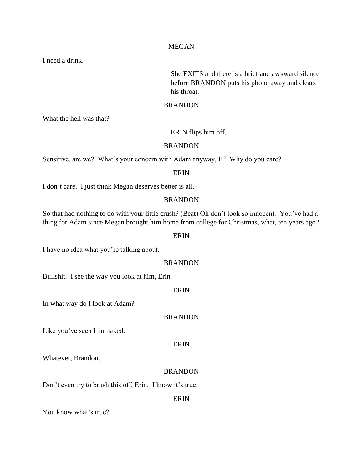### MEGAN

I need a drink.

She EXITS and there is a brief and awkward silence before BRANDON puts his phone away and clears his throat.

## BRANDON

What the hell was that?

### ERIN flips him off.

### BRANDON

Sensitive, are we? What's your concern with Adam anyway, E? Why do you care?

## ERIN

I don't care. I just think Megan deserves better is all.

## **BRANDON**

So that had nothing to do with your little crush? (Beat) Oh don't look so innocent. You've had a thing for Adam since Megan brought him home from college for Christmas, what, ten years ago?

## ERIN

I have no idea what you're talking about.

### **BRANDON**

Bullshit. I see the way you look at him, Erin.

## ERIN

In what way do I look at Adam?

## BRANDON

Like you've seen him naked.

#### ERIN

Whatever, Brandon.

### BRANDON

Don't even try to brush this off, Erin. I know it's true.

## ERIN

You know what's true?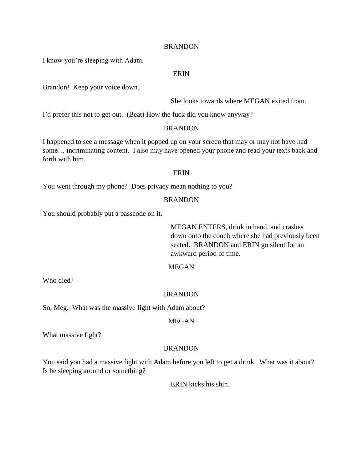I know you're sleeping with Adam.

## ERIN

Brandon! Keep your voice down.

She looks towards where MEGAN exited from.

I'd prefer this not to get out. (Beat) How the fuck did you know anyway?

## BRANDON

I happened to see a message when it popped up on your screen that may or may not have had some… incriminating content. I also may have opened your phone and read your texts back and forth with him.

## ERIN

You went through my phone? Does privacy mean nothing to you?

### **BRANDON**

You should probably put a passcode on it.

MEGAN ENTERS, drink in hand, and crashes down onto the couch where she had previously been seated. BRANDON and ERIN go silent for an awkward period of time.

# MEGAN

Who died?

#### BRANDON

So, Meg. What was the massive fight with Adam about?

## MEGAN

What massive fight?

## BRANDON

You said you had a massive fight with Adam before you left to get a drink. What was it about? Is he sleeping around or something?

ERIN kicks his shin.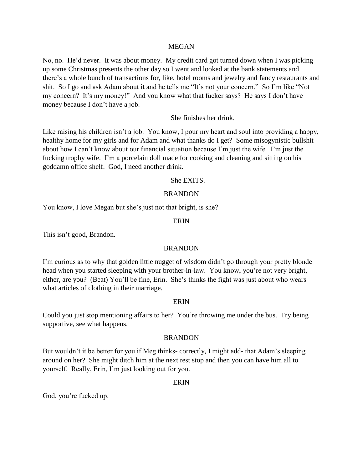### MEGAN

No, no. He'd never. It was about money. My credit card got turned down when I was picking up some Christmas presents the other day so I went and looked at the bank statements and there's a whole bunch of transactions for, like, hotel rooms and jewelry and fancy restaurants and shit. So I go and ask Adam about it and he tells me "It's not your concern." So I'm like "Not my concern? It's my money!" And you know what that fucker says? He says I don't have money because I don't have a job.

## She finishes her drink.

Like raising his children isn't a job. You know, I pour my heart and soul into providing a happy, healthy home for my girls and for Adam and what thanks do I get? Some misogynistic bullshit about how I can't know about our financial situation because I'm just the wife. I'm just the fucking trophy wife. I'm a porcelain doll made for cooking and cleaning and sitting on his goddamn office shelf. God, I need another drink.

### She EXITS.

### BRANDON

You know, I love Megan but she's just not that bright, is she?

### ERIN

This isn't good, Brandon.

## BRANDON

I'm curious as to why that golden little nugget of wisdom didn't go through your pretty blonde head when you started sleeping with your brother-in-law. You know, you're not very bright, either, are you? (Beat) You'll be fine, Erin. She's thinks the fight was just about who wears what articles of clothing in their marriage.

#### ERIN

Could you just stop mentioning affairs to her? You're throwing me under the bus. Try being supportive, see what happens.

#### BRANDON

But wouldn't it be better for you if Meg thinks- correctly, I might add- that Adam's sleeping around on her? She might ditch him at the next rest stop and then you can have him all to yourself. Really, Erin, I'm just looking out for you.

## ERIN

God, you're fucked up.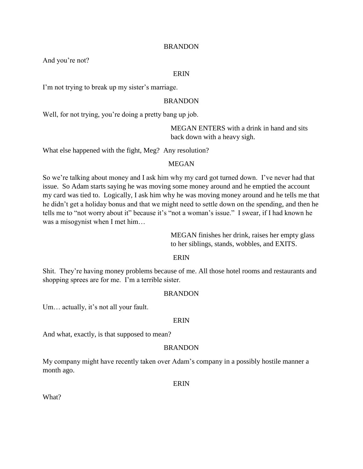And you're not?

### ERIN

I'm not trying to break up my sister's marriage.

## BRANDON

Well, for not trying, you're doing a pretty bang up job.

MEGAN ENTERS with a drink in hand and sits back down with a heavy sigh.

What else happened with the fight, Meg? Any resolution?

### MEGAN

So we're talking about money and I ask him why my card got turned down. I've never had that issue. So Adam starts saying he was moving some money around and he emptied the account my card was tied to. Logically, I ask him why he was moving money around and he tells me that he didn't get a holiday bonus and that we might need to settle down on the spending, and then he tells me to "not worry about it" because it's "not a woman's issue." I swear, if I had known he was a misogynist when I met him…

> MEGAN finishes her drink, raises her empty glass to her siblings, stands, wobbles, and EXITS.

### ERIN

Shit. They're having money problems because of me. All those hotel rooms and restaurants and shopping sprees are for me. I'm a terrible sister.

## BRANDON

Um… actually, it's not all your fault.

#### ERIN

And what, exactly, is that supposed to mean?

### BRANDON

My company might have recently taken over Adam's company in a possibly hostile manner a month ago.

ERIN

What?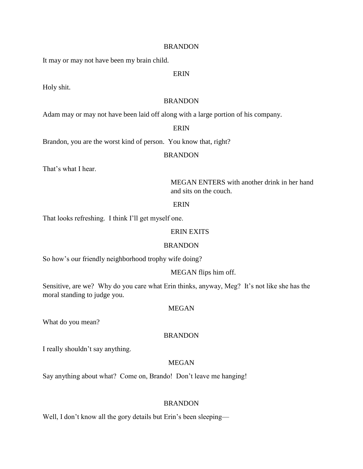It may or may not have been my brain child.

### ERIN

Holy shit.

## BRANDON

Adam may or may not have been laid off along with a large portion of his company.

## ERIN

Brandon, you are the worst kind of person. You know that, right?

#### BRANDON

That's what I hear.

MEGAN ENTERS with another drink in her hand and sits on the couch.

### ERIN

That looks refreshing. I think I'll get myself one.

## ERIN EXITS

### BRANDON

So how's our friendly neighborhood trophy wife doing?

### MEGAN flips him off.

Sensitive, are we? Why do you care what Erin thinks, anyway, Meg? It's not like she has the moral standing to judge you.

#### MEGAN

What do you mean?

## BRANDON

I really shouldn't say anything.

## MEGAN

Say anything about what? Come on, Brando! Don't leave me hanging!

#### BRANDON

Well, I don't know all the gory details but Erin's been sleeping—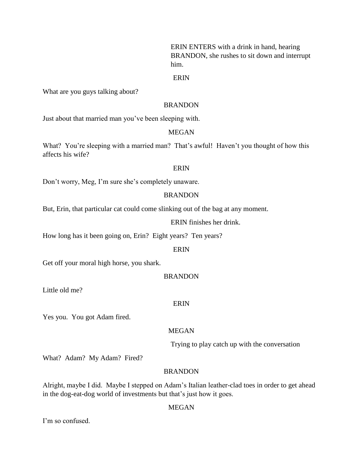ERIN ENTERS with a drink in hand, hearing BRANDON, she rushes to sit down and interrupt him.

### ERIN

What are you guys talking about?

# BRANDON

Just about that married man you've been sleeping with.

### MEGAN

What? You're sleeping with a married man? That's awful! Haven't you thought of how this affects his wife?

#### ERIN

Don't worry, Meg, I'm sure she's completely unaware.

### BRANDON

But, Erin, that particular cat could come slinking out of the bag at any moment.

ERIN finishes her drink.

How long has it been going on, Erin? Eight years? Ten years?

#### ERIN

Get off your moral high horse, you shark.

### BRANDON

Little old me?

### ERIN

Yes you. You got Adam fired.

# MEGAN

Trying to play catch up with the conversation

What? Adam? My Adam? Fired?

## BRANDON

Alright, maybe I did. Maybe I stepped on Adam's Italian leather-clad toes in order to get ahead in the dog-eat-dog world of investments but that's just how it goes.

## MEGAN

I'm so confused.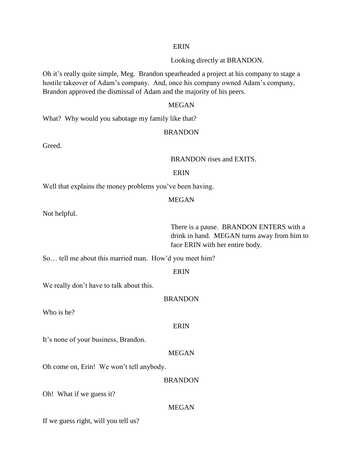## ERIN

Looking directly at BRANDON.

Oh it's really quite simple, Meg. Brandon spearheaded a project at his company to stage a hostile takeover of Adam's company. And, once his company owned Adam's company, Brandon approved the dismissal of Adam and the majority of his peers.

### MEGAN

What? Why would you sabotage my family like that?

#### BRANDON

Greed.

BRANDON rises and EXITS.

### ERIN

Well that explains the money problems you've been having.

#### MEGAN

Not helpful.

There is a pause. BRANDON ENTERS with a drink in hand. MEGAN turns away from him to face ERIN with her entire body.

So… tell me about this married man. How'd you meet him?

#### ERIN

We really don't have to talk about this.

#### BRANDON

Who is he?

### ERIN

It's none of your business, Brandon.

# MEGAN

Oh come on, Erin! We won't tell anybody.

### BRANDON

Oh! What if we guess it?

### MEGAN

If we guess right, will you tell us?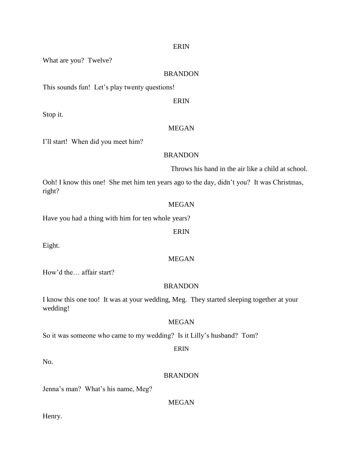#### ERIN

What are you? Twelve?

### BRANDON

This sounds fun! Let's play twenty questions!

ERIN

Stop it.

## MEGAN

I'll start! When did you meet him?

#### BRANDON

Throws his hand in the air like a child at school.

Ooh! I know this one! She met him ten years ago to the day, didn't you? It was Christmas, right?

### MEGAN

Have you had a thing with him for ten whole years?

ERIN

Eight.

## MEGAN

How'd the… affair start?

### BRANDON

I know this one too! It was at your wedding, Meg. They started sleeping together at your wedding!

### MEGAN

So it was someone who came to my wedding? Is it Lilly's husband? Tom?

## ERIN

No.

## BRANDON

Jenna's man? What's his name, Meg?

MEGAN

Henry.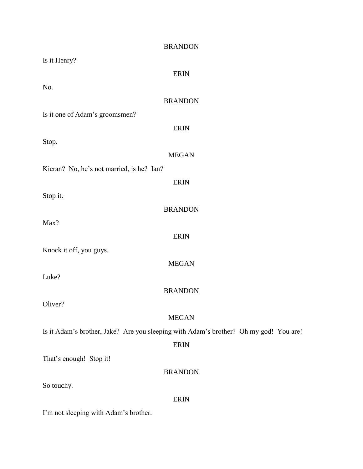| <b>BRANDON</b>                                                                        |
|---------------------------------------------------------------------------------------|
| Is it Henry?                                                                          |
| <b>ERIN</b>                                                                           |
| No.                                                                                   |
| <b>BRANDON</b>                                                                        |
| Is it one of Adam's groomsmen?                                                        |
| <b>ERIN</b>                                                                           |
| Stop.                                                                                 |
| <b>MEGAN</b>                                                                          |
| Kieran? No, he's not married, is he? Ian?                                             |
| <b>ERIN</b>                                                                           |
| Stop it.                                                                              |
| <b>BRANDON</b>                                                                        |
| Max?                                                                                  |
| <b>ERIN</b>                                                                           |
| Knock it off, you guys.                                                               |
| <b>MEGAN</b>                                                                          |
| Luke?                                                                                 |
| <b>BRANDON</b>                                                                        |
| Oliver?                                                                               |
| <b>MEGAN</b>                                                                          |
| Is it Adam's brother, Jake? Are you sleeping with Adam's brother? Oh my god! You are! |
| <b>ERIN</b>                                                                           |
| That's enough! Stop it!                                                               |
| <b>BRANDON</b>                                                                        |
| So touchy.                                                                            |
| <b>ERIN</b>                                                                           |
| I'm not sleeping with Adam's brother.                                                 |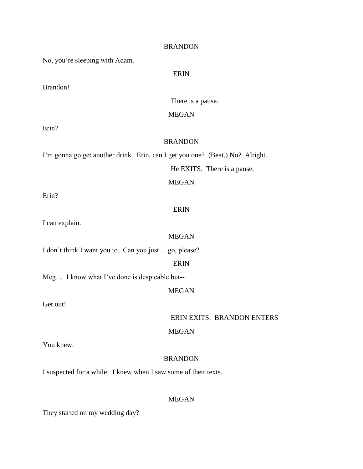No, you're sleeping with Adam.

## ERIN

Brandon!

There is a pause.

## MEGAN

Erin?

## BRANDON

I'm gonna go get another drink. Erin, can I get you one? (Beat.) No? Alright.

He EXITS. There is a pause.

## MEGAN

Erin?

# ERIN

I can explain.

### MEGAN

I don't think I want you to. Can you just… go, please?

## ERIN

Meg… I know what I've done is despicable but--

# MEGAN

Get out!

ERIN EXITS. BRANDON ENTERS

## MEGAN

You knew.

## BRANDON

I suspected for a while. I knew when I saw some of their texts.

## MEGAN

They started on my wedding day?